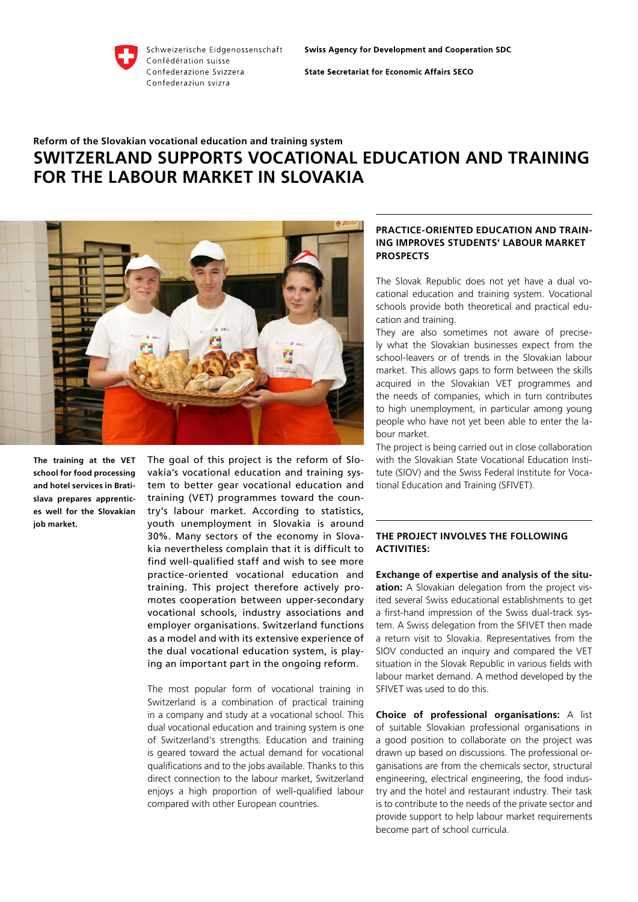

Schweizerische Eidgenossenschaft Confédération suisse Confederazione Svizzera Confederaziun svizra

**Swiss Agency for Development and Cooperation SDC** 

**State Secretariat for Economic Affairs SECO** 

# **Reform of the Slovakian vocational education and training system Switzerland supports vocational education and training for the labour market in Slovakia**



**The training at the VET school for food processing and hotel services in Bratislava prepares apprentices well for the Slovakian job market.**

The goal of this project is the reform of Slovakia's vocational education and training system to better gear vocational education and training (VET) programmes toward the country's labour market. According to statistics, youth unemployment in Slovakia is around 30%. Many sectors of the economy in Slovakia nevertheless complain that it is difficult to find well-qualified staff and wish to see more practice-oriented vocational education and training. This project therefore actively promotes cooperation between upper-secondary vocational schools, industry associations and employer organisations. Switzerland functions as a model and with its extensive experience of the dual vocational education system, is playing an important part in the ongoing reform.

The most popular form of vocational training in Switzerland is a combination of practical training in a company and study at a vocational school. This dual vocational education and training system is one of Switzerland's strengths. Education and training is geared toward the actual demand for vocational qualifications and to the jobs available. Thanks to this direct connection to the labour market, Switzerland enjoys a high proportion of well-qualified labour compared with other European countries.

# **Practice-oriented education and training improves students' labour market prospects**

The Slovak Republic does not yet have a dual vocational education and training system. Vocational schools provide both theoretical and practical education and training.

They are also sometimes not aware of precisely what the Slovakian businesses expect from the school-leavers or of trends in the Slovakian labour market. This allows gaps to form between the skills acquired in the Slovakian VET programmes and the needs of companies, which in turn contributes to high unemployment, in particular among young people who have not yet been able to enter the labour market.

The project is being carried out in close collaboration with the Slovakian State Vocational Education Institute (SIOV) and the Swiss Federal Institute for Vocational Education and Training (SFIVET).

# **The project involves the following activities:**

**Exchange of expertise and analysis of the situation:** A Slovakian delegation from the project visited several Swiss educational establishments to get a first-hand impression of the Swiss dual-track system. A Swiss delegation from the SFIVET then made a return visit to Slovakia. Representatives from the SIOV conducted an inquiry and compared the VET situation in the Slovak Republic in various fields with labour market demand. A method developed by the SFIVET was used to do this.

**Choice of professional organisations:** A list of suitable Slovakian professional organisations in a good position to collaborate on the project was drawn up based on discussions. The professional organisations are from the chemicals sector, structural engineering, electrical engineering, the food industry and the hotel and restaurant industry. Their task is to contribute to the needs of the private sector and provide support to help labour market requirements become part of school curricula.